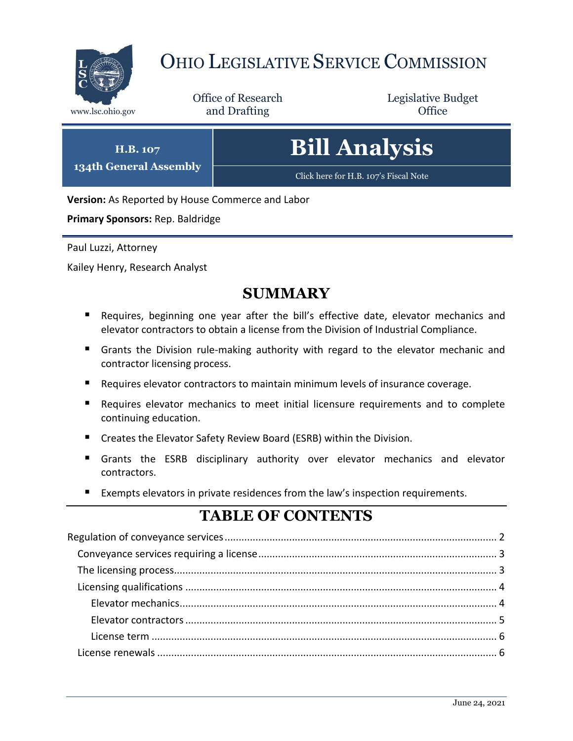

# OHIO LEGISLATIVE SERVICE COMMISSION

Office of Research www.lsc.ohio.gov **and Drafting Office** 

Legislative Budget

| <b>H.B. 107</b>               |  |
|-------------------------------|--|
|                               |  |
| <b>134th General Assembly</b> |  |

**Bill Analysis**

[Click here for H.B. 107's Fiscal Note](https://www.legislature.ohio.gov/legislation/legislation-documents?id=GA133-HB-415)

**Version:** As Reported by House Commerce and Labor

**Primary Sponsors:** Rep. Baldridge

Paul Luzzi, Attorney

Kailey Henry, Research Analyst

## **SUMMARY**

- Requires, beginning one year after the bill's effective date, elevator mechanics and elevator contractors to obtain a license from the Division of Industrial Compliance.
- Grants the Division rule-making authority with regard to the elevator mechanic and contractor licensing process.
- Requires elevator contractors to maintain minimum levels of insurance coverage.
- Requires elevator mechanics to meet initial licensure requirements and to complete continuing education.
- Creates the Elevator Safety Review Board (ESRB) within the Division.
- Grants the ESRB disciplinary authority over elevator mechanics and elevator contractors.
- Exempts elevators in private residences from the law's inspection requirements.

## **TABLE OF CONTENTS**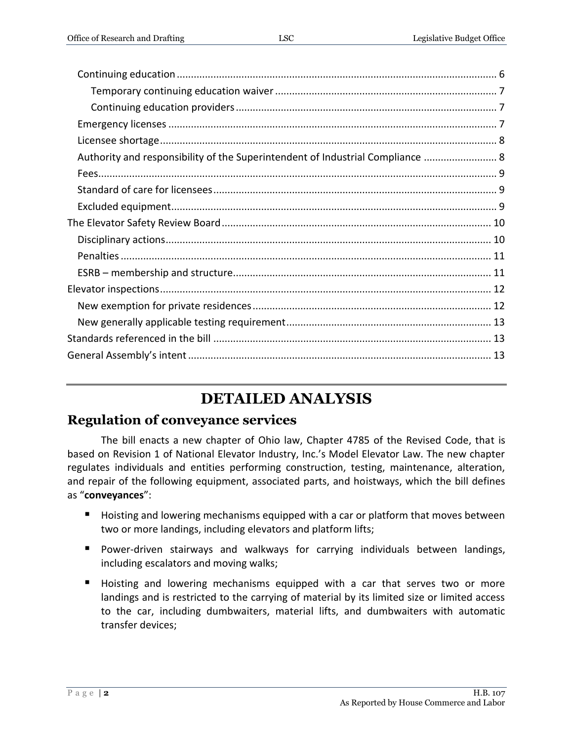| Authority and responsibility of the Superintendent of Industrial Compliance  8 |  |
|--------------------------------------------------------------------------------|--|
|                                                                                |  |
|                                                                                |  |
|                                                                                |  |
|                                                                                |  |
|                                                                                |  |
|                                                                                |  |
|                                                                                |  |
|                                                                                |  |
|                                                                                |  |
|                                                                                |  |
|                                                                                |  |
|                                                                                |  |
|                                                                                |  |

## **DETAILED ANALYSIS**

## <span id="page-1-0"></span>**Regulation of conveyance services**

The bill enacts a new chapter of Ohio law, Chapter 4785 of the Revised Code, that is based on Revision 1 of National Elevator Industry, Inc.'s Model Elevator Law. The new chapter regulates individuals and entities performing construction, testing, maintenance, alteration, and repair of the following equipment, associated parts, and hoistways, which the bill defines as "**conveyances**":

- **Hoisting and lowering mechanisms equipped with a car or platform that moves between** two or more landings, including elevators and platform lifts;
- Power-driven stairways and walkways for carrying individuals between landings, including escalators and moving walks;
- Hoisting and lowering mechanisms equipped with a car that serves two or more landings and is restricted to the carrying of material by its limited size or limited access to the car, including dumbwaiters, material lifts, and dumbwaiters with automatic transfer devices;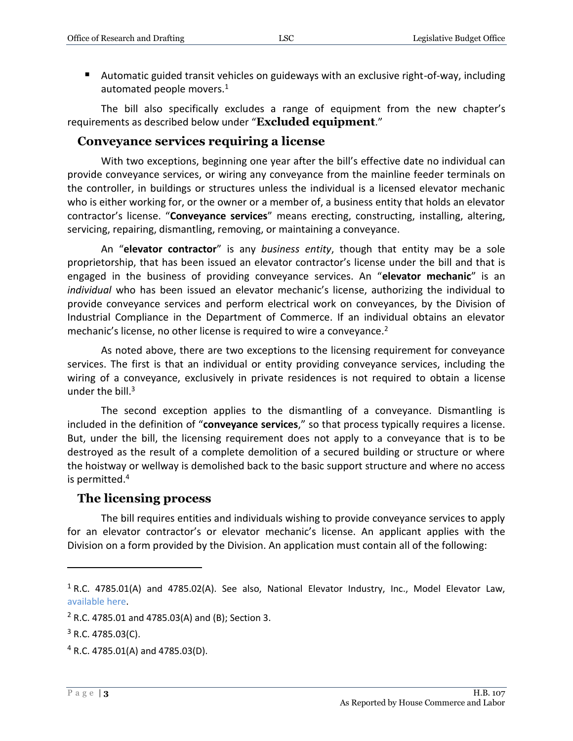Automatic guided transit vehicles on guideways with an exclusive right-of-way, including automated people movers. $1$ 

The bill also specifically excludes a range of equipment from the new chapter's requirements as described below under "**Excluded equipment**."

### <span id="page-2-0"></span>**Conveyance services requiring a license**

With two exceptions, beginning one year after the bill's effective date no individual can provide conveyance services, or wiring any conveyance from the mainline feeder terminals on the controller, in buildings or structures unless the individual is a licensed elevator mechanic who is either working for, or the owner or a member of, a business entity that holds an elevator contractor's license. "**Conveyance services**" means erecting, constructing, installing, altering, servicing, repairing, dismantling, removing, or maintaining a conveyance.

An "**elevator contractor**" is any *business entity*, though that entity may be a sole proprietorship, that has been issued an elevator contractor's license under the bill and that is engaged in the business of providing conveyance services. An "**elevator mechanic**" is an *individual* who has been issued an elevator mechanic's license, authorizing the individual to provide conveyance services and perform electrical work on conveyances, by the Division of Industrial Compliance in the Department of Commerce. If an individual obtains an elevator mechanic's license, no other license is required to wire a conveyance.<sup>2</sup>

As noted above, there are two exceptions to the licensing requirement for conveyance services. The first is that an individual or entity providing conveyance services, including the wiring of a conveyance, exclusively in private residences is not required to obtain a license under the bill. $3$ 

The second exception applies to the dismantling of a conveyance. Dismantling is included in the definition of "**conveyance services**," so that process typically requires a license. But, under the bill, the licensing requirement does not apply to a conveyance that is to be destroyed as the result of a complete demolition of a secured building or structure or where the hoistway or wellway is demolished back to the basic support structure and where no access is permitted.<sup>4</sup>

### <span id="page-2-1"></span>**The licensing process**

The bill requires entities and individuals wishing to provide conveyance services to apply for an elevator contractor's or elevator mechanic's license. An applicant applies with the Division on a form provided by the Division. An application must contain all of the following:

 $1$  R.C. 4785.01(A) and 4785.02(A). See also, National Elevator Industry, Inc., Model Elevator Law, [available here.](http://www.neii.org/pdf/model%20elevator%20law%20revision%203.pdf)

 $2$  R.C. 4785.01 and 4785.03(A) and (B); Section 3.

 $3$  R.C. 4785.03(C).

 $4$  R.C. 4785.01(A) and 4785.03(D).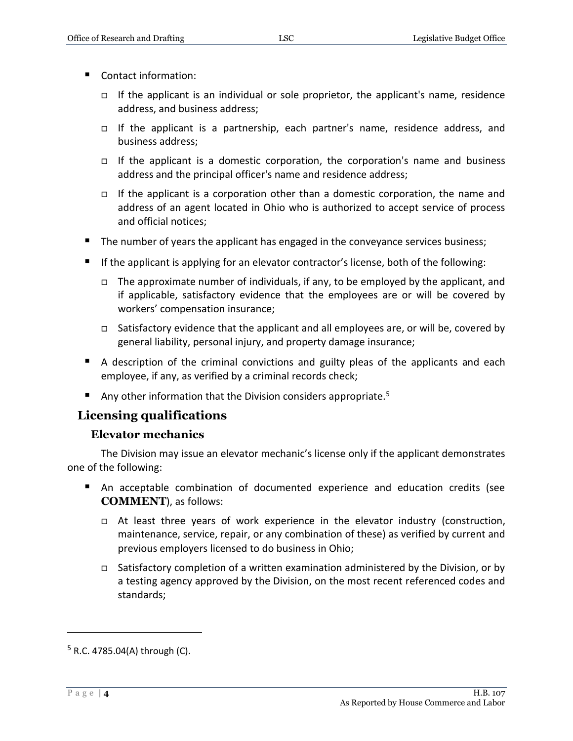- Contact information:
	- If the applicant is an individual or sole proprietor, the applicant's name, residence address, and business address;
	- If the applicant is a partnership, each partner's name, residence address, and business address;
	- If the applicant is a domestic corporation, the corporation's name and business address and the principal officer's name and residence address;
	- If the applicant is a corporation other than a domestic corporation, the name and address of an agent located in Ohio who is authorized to accept service of process and official notices;
- The number of years the applicant has engaged in the conveyance services business;
- **If the applicant is applying for an elevator contractor's license, both of the following:** 
	- $\Box$  The approximate number of individuals, if any, to be employed by the applicant, and if applicable, satisfactory evidence that the employees are or will be covered by workers' compensation insurance;
	- □ Satisfactory evidence that the applicant and all employees are, or will be, covered by general liability, personal injury, and property damage insurance;
- A description of the criminal convictions and guilty pleas of the applicants and each employee, if any, as verified by a criminal records check;
- Any other information that the Division considers appropriate.<sup>5</sup>

## <span id="page-3-0"></span>**Licensing qualifications**

### **Elevator mechanics**

<span id="page-3-1"></span>The Division may issue an elevator mechanic's license only if the applicant demonstrates one of the following:

- An acceptable combination of documented experience and education credits (see **COMMENT**), as follows:
	- $\Box$  At least three years of work experience in the elevator industry (construction, maintenance, service, repair, or any combination of these) as verified by current and previous employers licensed to do business in Ohio;
	- Satisfactory completion of a written examination administered by the Division, or by a testing agency approved by the Division, on the most recent referenced codes and standards;

 $5$  R.C. 4785.04(A) through (C).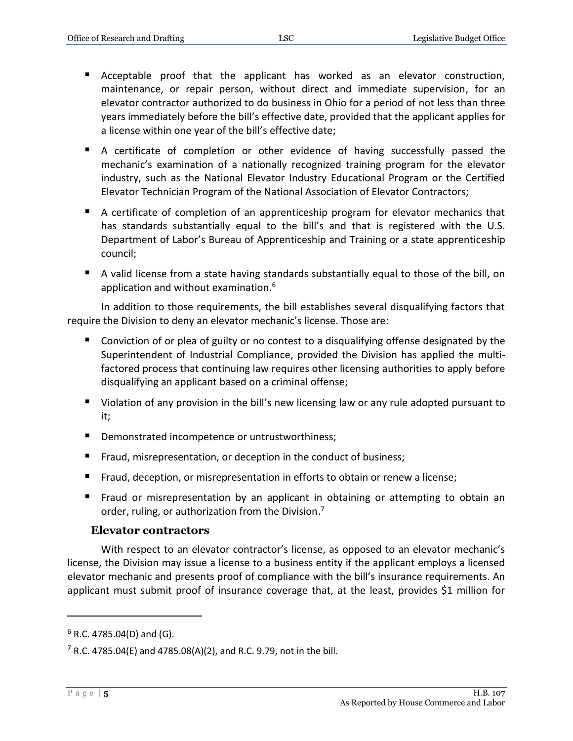- Acceptable proof that the applicant has worked as an elevator construction, maintenance, or repair person, without direct and immediate supervision, for an elevator contractor authorized to do business in Ohio for a period of not less than three years immediately before the bill's effective date, provided that the applicant applies for a license within one year of the bill's effective date;
- A certificate of completion or other evidence of having successfully passed the mechanic's examination of a nationally recognized training program for the elevator industry, such as the National Elevator Industry Educational Program or the Certified Elevator Technician Program of the National Association of Elevator Contractors;
- A certificate of completion of an apprenticeship program for elevator mechanics that has standards substantially equal to the bill's and that is registered with the U.S. Department of Labor's Bureau of Apprenticeship and Training or a state apprenticeship council;
- A valid license from a state having standards substantially equal to those of the bill, on application and without examination.<sup>6</sup>

In addition to those requirements, the bill establishes several disqualifying factors that require the Division to deny an elevator mechanic's license. Those are:

- Conviction of or plea of guilty or no contest to a disqualifying offense designated by the Superintendent of Industrial Compliance, provided the Division has applied the multifactored process that continuing law requires other licensing authorities to apply before disqualifying an applicant based on a criminal offense;
- Violation of any provision in the bill's new licensing law or any rule adopted pursuant to it;
- **Demonstrated incompetence or untrustworthiness;**
- **Fraud, misrepresentation, or deception in the conduct of business;**
- **Fraud, deception, or misrepresentation in efforts to obtain or renew a license;**
- **Fraud or misrepresentation by an applicant in obtaining or attempting to obtain an** order, ruling, or authorization from the Division.<sup>7</sup>

#### **Elevator contractors**

<span id="page-4-0"></span>With respect to an elevator contractor's license, as opposed to an elevator mechanic's license, the Division may issue a license to a business entity if the applicant employs a licensed elevator mechanic and presents proof of compliance with the bill's insurance requirements. An applicant must submit proof of insurance coverage that, at the least, provides \$1 million for

 $6$  R.C. 4785.04(D) and (G).

 $7$  R.C. 4785.04(E) and 4785.08(A)(2), and R.C. 9.79, not in the bill.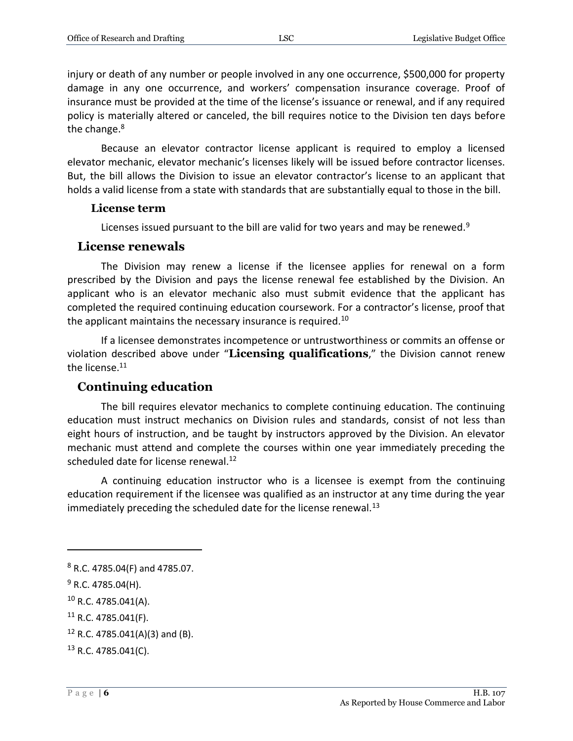injury or death of any number or people involved in any one occurrence, \$500,000 for property damage in any one occurrence, and workers' compensation insurance coverage. Proof of insurance must be provided at the time of the license's issuance or renewal, and if any required policy is materially altered or canceled, the bill requires notice to the Division ten days before the change.<sup>8</sup>

Because an elevator contractor license applicant is required to employ a licensed elevator mechanic, elevator mechanic's licenses likely will be issued before contractor licenses. But, the bill allows the Division to issue an elevator contractor's license to an applicant that holds a valid license from a state with standards that are substantially equal to those in the bill.

#### <span id="page-5-0"></span>**License term**

Licenses issued pursuant to the bill are valid for two years and may be renewed.<sup>9</sup>

#### <span id="page-5-1"></span>**License renewals**

The Division may renew a license if the licensee applies for renewal on a form prescribed by the Division and pays the license renewal fee established by the Division. An applicant who is an elevator mechanic also must submit evidence that the applicant has completed the required continuing education coursework. For a contractor's license, proof that the applicant maintains the necessary insurance is required.<sup>10</sup>

If a licensee demonstrates incompetence or untrustworthiness or commits an offense or violation described above under "**Licensing qualifications**," the Division cannot renew the license.<sup>11</sup>

### <span id="page-5-2"></span>**Continuing education**

The bill requires elevator mechanics to complete continuing education. The continuing education must instruct mechanics on Division rules and standards, consist of not less than eight hours of instruction, and be taught by instructors approved by the Division. An elevator mechanic must attend and complete the courses within one year immediately preceding the scheduled date for license renewal.<sup>12</sup>

A continuing education instructor who is a licensee is exempt from the continuing education requirement if the licensee was qualified as an instructor at any time during the year immediately preceding the scheduled date for the license renewal.<sup>13</sup>

 $\overline{a}$ 

<sup>10</sup> R.C. 4785.041(A).

<sup>8</sup> R.C. 4785.04(F) and 4785.07.

 $9$  R.C. 4785.04(H).

 $11$  R.C. 4785.041(F).

 $12$  R.C. 4785.041(A)(3) and (B).

<sup>13</sup> R.C. 4785.041(C).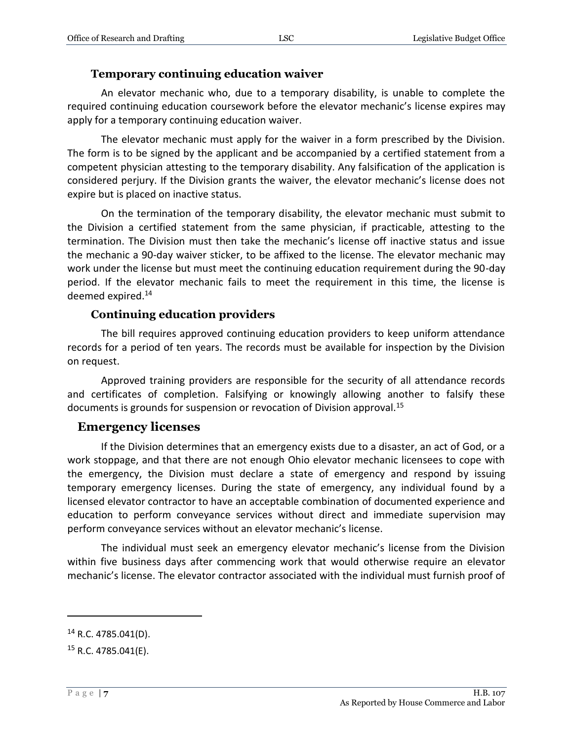#### **Temporary continuing education waiver**

<span id="page-6-0"></span>An elevator mechanic who, due to a temporary disability, is unable to complete the required continuing education coursework before the elevator mechanic's license expires may apply for a temporary continuing education waiver.

The elevator mechanic must apply for the waiver in a form prescribed by the Division. The form is to be signed by the applicant and be accompanied by a certified statement from a competent physician attesting to the temporary disability. Any falsification of the application is considered perjury. If the Division grants the waiver, the elevator mechanic's license does not expire but is placed on inactive status.

On the termination of the temporary disability, the elevator mechanic must submit to the Division a certified statement from the same physician, if practicable, attesting to the termination. The Division must then take the mechanic's license off inactive status and issue the mechanic a 90-day waiver sticker, to be affixed to the license. The elevator mechanic may work under the license but must meet the continuing education requirement during the 90-day period. If the elevator mechanic fails to meet the requirement in this time, the license is deemed expired.<sup>14</sup>

### **Continuing education providers**

<span id="page-6-1"></span>The bill requires approved continuing education providers to keep uniform attendance records for a period of ten years. The records must be available for inspection by the Division on request.

Approved training providers are responsible for the security of all attendance records and certificates of completion. Falsifying or knowingly allowing another to falsify these documents is grounds for suspension or revocation of Division approval.<sup>15</sup>

### <span id="page-6-2"></span>**Emergency licenses**

If the Division determines that an emergency exists due to a disaster, an act of God, or a work stoppage, and that there are not enough Ohio elevator mechanic licensees to cope with the emergency, the Division must declare a state of emergency and respond by issuing temporary emergency licenses. During the state of emergency, any individual found by a licensed elevator contractor to have an acceptable combination of documented experience and education to perform conveyance services without direct and immediate supervision may perform conveyance services without an elevator mechanic's license.

The individual must seek an emergency elevator mechanic's license from the Division within five business days after commencing work that would otherwise require an elevator mechanic's license. The elevator contractor associated with the individual must furnish proof of

 $14$  R.C. 4785.041(D).

 $15$  R.C. 4785.041(E).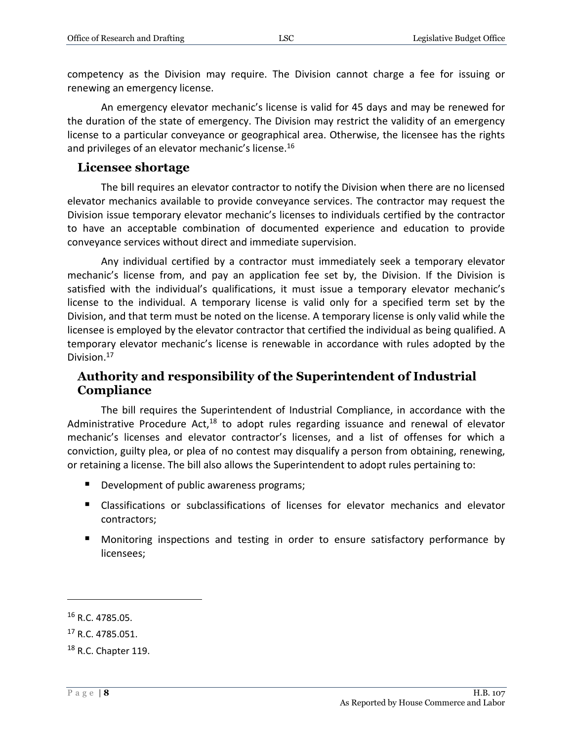competency as the Division may require. The Division cannot charge a fee for issuing or renewing an emergency license.

An emergency elevator mechanic's license is valid for 45 days and may be renewed for the duration of the state of emergency. The Division may restrict the validity of an emergency license to a particular conveyance or geographical area. Otherwise, the licensee has the rights and privileges of an elevator mechanic's license.<sup>16</sup>

### <span id="page-7-0"></span>**Licensee shortage**

The bill requires an elevator contractor to notify the Division when there are no licensed elevator mechanics available to provide conveyance services. The contractor may request the Division issue temporary elevator mechanic's licenses to individuals certified by the contractor to have an acceptable combination of documented experience and education to provide conveyance services without direct and immediate supervision.

Any individual certified by a contractor must immediately seek a temporary elevator mechanic's license from, and pay an application fee set by, the Division. If the Division is satisfied with the individual's qualifications, it must issue a temporary elevator mechanic's license to the individual. A temporary license is valid only for a specified term set by the Division, and that term must be noted on the license. A temporary license is only valid while the licensee is employed by the elevator contractor that certified the individual as being qualified. A temporary elevator mechanic's license is renewable in accordance with rules adopted by the Division.<sup>17</sup>

## <span id="page-7-1"></span>**Authority and responsibility of the Superintendent of Industrial Compliance**

The bill requires the Superintendent of Industrial Compliance, in accordance with the Administrative Procedure Act, $18$  to adopt rules regarding issuance and renewal of elevator mechanic's licenses and elevator contractor's licenses, and a list of offenses for which a conviction, guilty plea, or plea of no contest may disqualify a person from obtaining, renewing, or retaining a license. The bill also allows the Superintendent to adopt rules pertaining to:

- Development of public awareness programs;
- Classifications or subclassifications of licenses for elevator mechanics and elevator contractors;
- **Monitoring inspections and testing in order to ensure satisfactory performance by** licensees;

<sup>16</sup> R.C. 4785.05.

<sup>&</sup>lt;sup>17</sup> R.C. 4785.051.

<sup>18</sup> R.C. Chapter 119.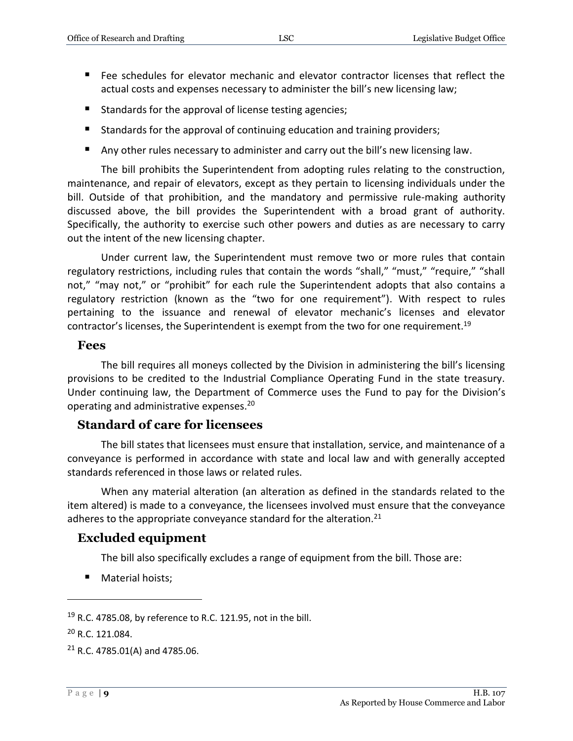- Fee schedules for elevator mechanic and elevator contractor licenses that reflect the actual costs and expenses necessary to administer the bill's new licensing law;
- Standards for the approval of license testing agencies;
- Standards for the approval of continuing education and training providers;
- Any other rules necessary to administer and carry out the bill's new licensing law.

The bill prohibits the Superintendent from adopting rules relating to the construction, maintenance, and repair of elevators, except as they pertain to licensing individuals under the bill. Outside of that prohibition, and the mandatory and permissive rule-making authority discussed above, the bill provides the Superintendent with a broad grant of authority. Specifically, the authority to exercise such other powers and duties as are necessary to carry out the intent of the new licensing chapter.

Under current law, the Superintendent must remove two or more rules that contain regulatory restrictions, including rules that contain the words "shall," "must," "require," "shall not," "may not," or "prohibit" for each rule the Superintendent adopts that also contains a regulatory restriction (known as the "two for one requirement"). With respect to rules pertaining to the issuance and renewal of elevator mechanic's licenses and elevator contractor's licenses, the Superintendent is exempt from the two for one requirement.<sup>19</sup>

#### <span id="page-8-0"></span>**Fees**

The bill requires all moneys collected by the Division in administering the bill's licensing provisions to be credited to the Industrial Compliance Operating Fund in the state treasury. Under continuing law, the Department of Commerce uses the Fund to pay for the Division's operating and administrative expenses.<sup>20</sup>

### <span id="page-8-1"></span>**Standard of care for licensees**

The bill states that licensees must ensure that installation, service, and maintenance of a conveyance is performed in accordance with state and local law and with generally accepted standards referenced in those laws or related rules.

When any material alteration (an alteration as defined in the standards related to the item altered) is made to a conveyance, the licensees involved must ensure that the conveyance adheres to the appropriate conveyance standard for the alteration.<sup>21</sup>

## <span id="page-8-2"></span>**Excluded equipment**

The bill also specifically excludes a range of equipment from the bill. Those are:

**Material hoists;** 

 $19$  R.C. 4785.08, by reference to R.C. 121.95, not in the bill.

<sup>20</sup> R.C. 121.084.

 $21$  R.C. 4785.01(A) and 4785.06.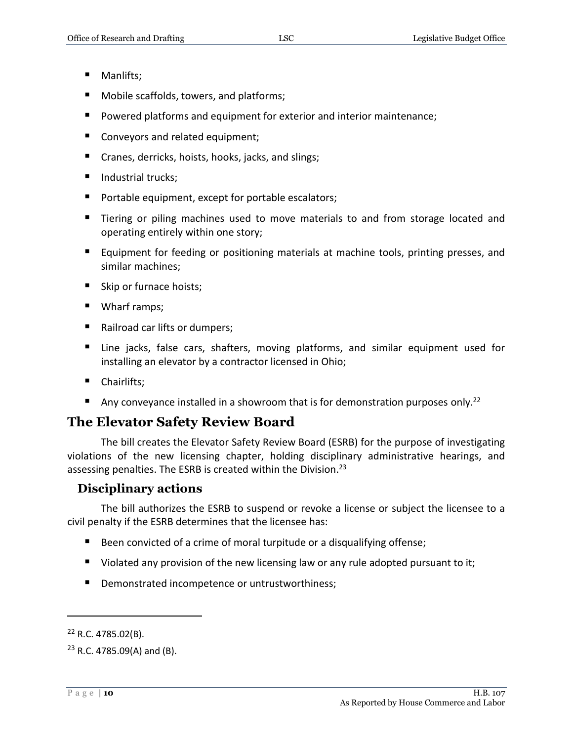- **Manlifts**;
- Mobile scaffolds, towers, and platforms;
- Powered platforms and equipment for exterior and interior maintenance;
- Conveyors and related equipment;
- Cranes, derricks, hoists, hooks, jacks, and slings;
- $\blacksquare$  Industrial trucks:
- **Portable equipment, except for portable escalators;**
- Tiering or piling machines used to move materials to and from storage located and operating entirely within one story;
- **Equipment for feeding or positioning materials at machine tools, printing presses, and** similar machines;
- Skip or furnace hoists;
- Wharf ramps;
- Railroad car lifts or dumpers;
- Line jacks, false cars, shafters, moving platforms, and similar equipment used for installing an elevator by a contractor licensed in Ohio;
- Chairlifts;
- Any conveyance installed in a showroom that is for demonstration purposes only.<sup>22</sup>

## <span id="page-9-0"></span>**The Elevator Safety Review Board**

The bill creates the Elevator Safety Review Board (ESRB) for the purpose of investigating violations of the new licensing chapter, holding disciplinary administrative hearings, and assessing penalties. The ESRB is created within the Division.<sup>23</sup>

## <span id="page-9-1"></span>**Disciplinary actions**

The bill authorizes the ESRB to suspend or revoke a license or subject the licensee to a civil penalty if the ESRB determines that the licensee has:

- Been convicted of a crime of moral turpitude or a disqualifying offense;
- $\blacksquare$  Violated any provision of the new licensing law or any rule adopted pursuant to it;
- **Demonstrated incompetence or untrustworthiness;**

 $22$  R.C. 4785.02(B).

 $23$  R.C. 4785.09(A) and (B).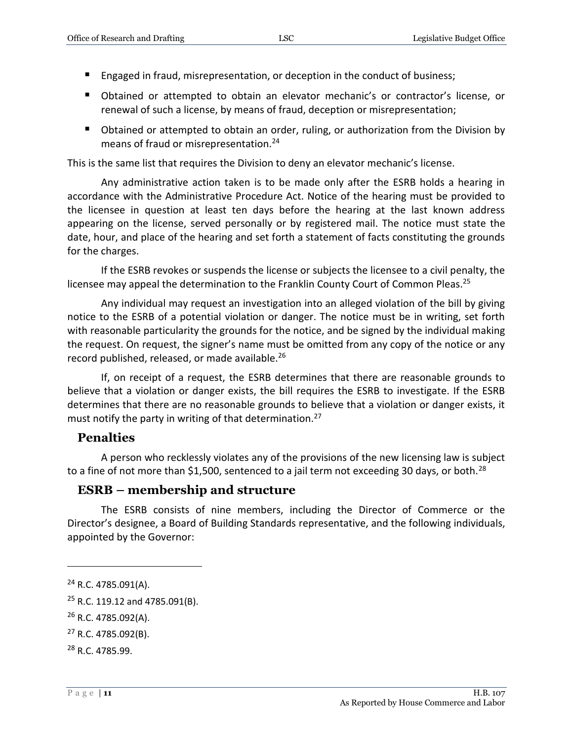- **E** Engaged in fraud, misrepresentation, or deception in the conduct of business;
- Obtained or attempted to obtain an elevator mechanic's or contractor's license, or renewal of such a license, by means of fraud, deception or misrepresentation;
- Obtained or attempted to obtain an order, ruling, or authorization from the Division by means of fraud or misrepresentation.<sup>24</sup>

This is the same list that requires the Division to deny an elevator mechanic's license.

Any administrative action taken is to be made only after the ESRB holds a hearing in accordance with the Administrative Procedure Act. Notice of the hearing must be provided to the licensee in question at least ten days before the hearing at the last known address appearing on the license, served personally or by registered mail. The notice must state the date, hour, and place of the hearing and set forth a statement of facts constituting the grounds for the charges.

If the ESRB revokes or suspends the license or subjects the licensee to a civil penalty, the licensee may appeal the determination to the Franklin County Court of Common Pleas.<sup>25</sup>

Any individual may request an investigation into an alleged violation of the bill by giving notice to the ESRB of a potential violation or danger. The notice must be in writing, set forth with reasonable particularity the grounds for the notice, and be signed by the individual making the request. On request, the signer's name must be omitted from any copy of the notice or any record published, released, or made available.<sup>26</sup>

If, on receipt of a request, the ESRB determines that there are reasonable grounds to believe that a violation or danger exists, the bill requires the ESRB to investigate. If the ESRB determines that there are no reasonable grounds to believe that a violation or danger exists, it must notify the party in writing of that determination.<sup>27</sup>

### <span id="page-10-0"></span>**Penalties**

A person who recklessly violates any of the provisions of the new licensing law is subject to a fine of not more than \$1,500, sentenced to a jail term not exceeding 30 days, or both.<sup>28</sup>

### <span id="page-10-1"></span>**ESRB – membership and structure**

The ESRB consists of nine members, including the Director of Commerce or the Director's designee, a Board of Building Standards representative, and the following individuals, appointed by the Governor:

<sup>24</sup> R.C. 4785.091(A).

 $25$  R.C. 119.12 and 4785.091(B).

<sup>26</sup> R.C. 4785.092(A).

<sup>27</sup> R.C. 4785.092(B).

<sup>28</sup> R.C. 4785.99.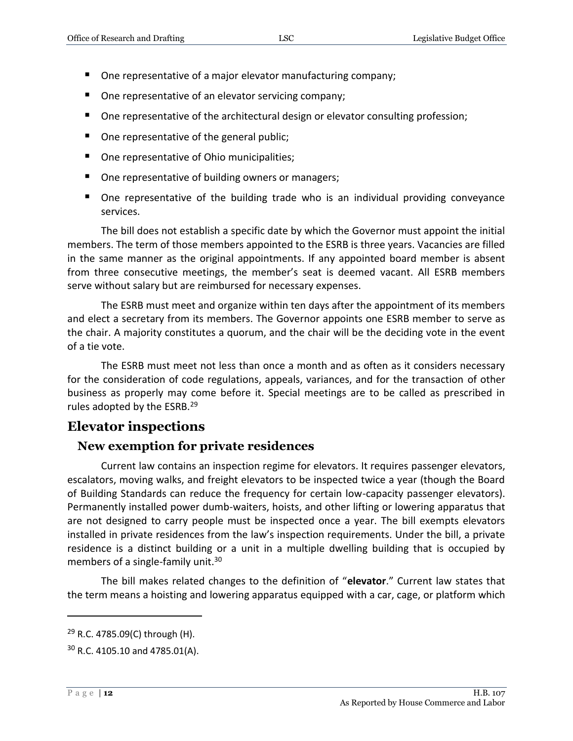- One representative of a major elevator manufacturing company;
- One representative of an elevator servicing company;
- One representative of the architectural design or elevator consulting profession;
- One representative of the general public;
- One representative of Ohio municipalities;
- One representative of building owners or managers;
- One representative of the building trade who is an individual providing conveyance services.

The bill does not establish a specific date by which the Governor must appoint the initial members. The term of those members appointed to the ESRB is three years. Vacancies are filled in the same manner as the original appointments. If any appointed board member is absent from three consecutive meetings, the member's seat is deemed vacant. All ESRB members serve without salary but are reimbursed for necessary expenses.

The ESRB must meet and organize within ten days after the appointment of its members and elect a secretary from its members. The Governor appoints one ESRB member to serve as the chair. A majority constitutes a quorum, and the chair will be the deciding vote in the event of a tie vote.

The ESRB must meet not less than once a month and as often as it considers necessary for the consideration of code regulations, appeals, variances, and for the transaction of other business as properly may come before it. Special meetings are to be called as prescribed in rules adopted by the ESRB.<sup>29</sup>

## <span id="page-11-0"></span>**Elevator inspections**

## <span id="page-11-1"></span>**New exemption for private residences**

Current law contains an inspection regime for elevators. It requires passenger elevators, escalators, moving walks, and freight elevators to be inspected twice a year (though the Board of Building Standards can reduce the frequency for certain low-capacity passenger elevators). Permanently installed power dumb-waiters, hoists, and other lifting or lowering apparatus that are not designed to carry people must be inspected once a year. The bill exempts elevators installed in private residences from the law's inspection requirements. Under the bill, a private residence is a distinct building or a unit in a multiple dwelling building that is occupied by members of a single-family unit.<sup>30</sup>

The bill makes related changes to the definition of "**elevator**." Current law states that the term means a hoisting and lowering apparatus equipped with a car, cage, or platform which

 $29$  R.C. 4785.09(C) through (H).

 $30$  R.C. 4105.10 and 4785.01(A).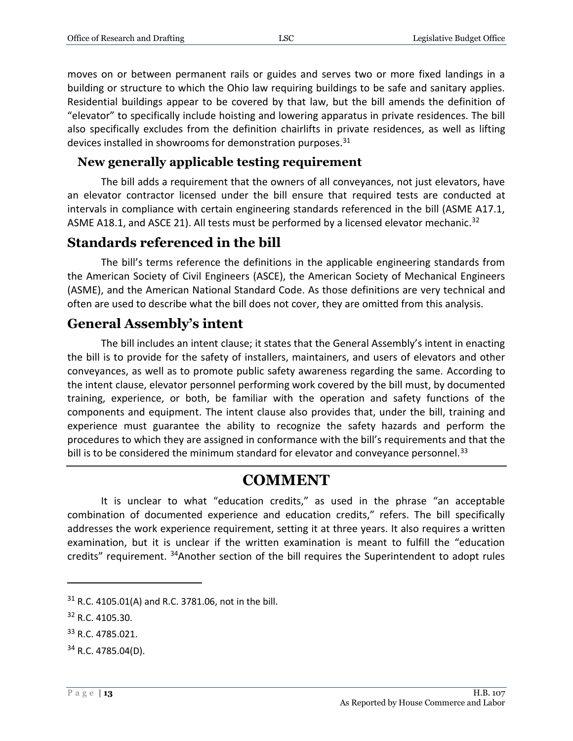moves on or between permanent rails or guides and serves two or more fixed landings in a building or structure to which the Ohio law requiring buildings to be safe and sanitary applies. Residential buildings appear to be covered by that law, but the bill amends the definition of "elevator" to specifically include hoisting and lowering apparatus in private residences. The bill also specifically excludes from the definition chairlifts in private residences, as well as lifting devices installed in showrooms for demonstration purposes.<sup>31</sup>

## <span id="page-12-0"></span>**New generally applicable testing requirement**

The bill adds a requirement that the owners of all conveyances, not just elevators, have an elevator contractor licensed under the bill ensure that required tests are conducted at intervals in compliance with certain engineering standards referenced in the bill (ASME A17.1, ASME A18.1, and ASCE 21). All tests must be performed by a licensed elevator mechanic.<sup>32</sup>

## <span id="page-12-1"></span>**Standards referenced in the bill**

The bill's terms reference the definitions in the applicable engineering standards from the American Society of Civil Engineers (ASCE), the American Society of Mechanical Engineers (ASME), and the American National Standard Code. As those definitions are very technical and often are used to describe what the bill does not cover, they are omitted from this analysis.

## <span id="page-12-2"></span>**General Assembly's intent**

The bill includes an intent clause; it states that the General Assembly's intent in enacting the bill is to provide for the safety of installers, maintainers, and users of elevators and other conveyances, as well as to promote public safety awareness regarding the same. According to the intent clause, elevator personnel performing work covered by the bill must, by documented training, experience, or both, be familiar with the operation and safety functions of the components and equipment. The intent clause also provides that, under the bill, training and experience must guarantee the ability to recognize the safety hazards and perform the procedures to which they are assigned in conformance with the bill's requirements and that the bill is to be considered the minimum standard for elevator and conveyance personnel.<sup>33</sup>

## **COMMENT**

It is unclear to what "education credits," as used in the phrase "an acceptable combination of documented experience and education credits," refers. The bill specifically addresses the work experience requirement, setting it at three years. It also requires a written examination, but it is unclear if the written examination is meant to fulfill the "education credits" requirement. <sup>34</sup>Another section of the bill requires the Superintendent to adopt rules

 $31$  R.C. 4105.01(A) and R.C. 3781.06, not in the bill.

<sup>32</sup> R.C. 4105.30.

<sup>33</sup> R.C. 4785.021.

<sup>34</sup> R.C. 4785.04(D).